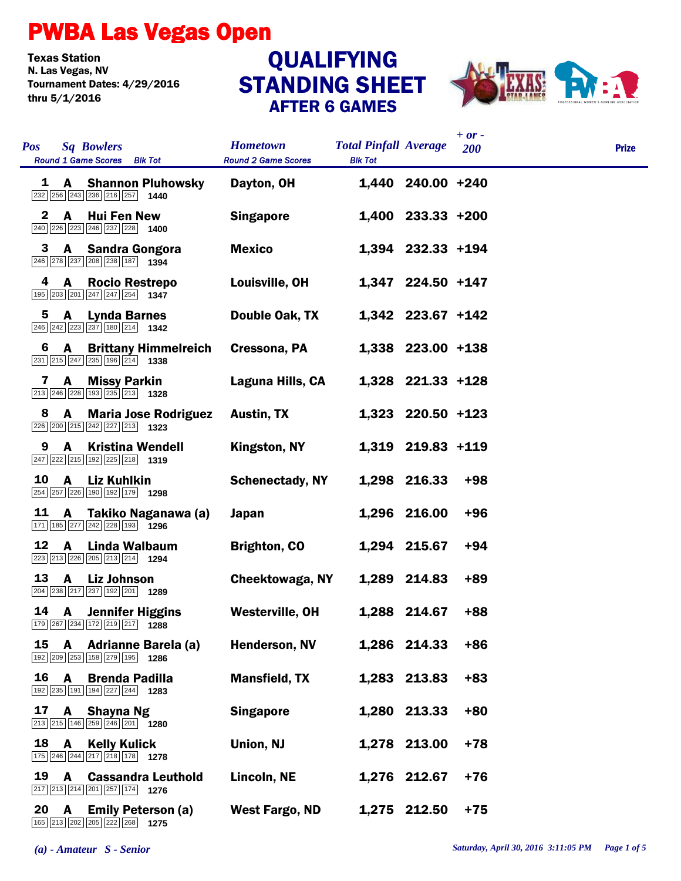## PWBA Las Vegas Open

**Texas Station<br>N. Las Vegas, NV** Tournament Dates: 4/29/2016 thru 5/1/2016

## STANDING SHEET AFTER 6 GAMES **QUALIFYING**



| <b>Pos</b> | <b>Sq Bowlers</b><br>Round 1 Game Scores Blk Tot                                                                           | <b>Hometown</b><br><b>Round 2 Game Scores</b> | <b>Total Pinfall Average</b><br><b>BIk Tot</b> |                   | $+ or -$<br>200 | <b>Prize</b> |
|------------|----------------------------------------------------------------------------------------------------------------------------|-----------------------------------------------|------------------------------------------------|-------------------|-----------------|--------------|
| 1          | <b>Shannon Pluhowsky</b><br>A                                                                                              | Dayton, OH                                    |                                                | 1,440 240.00 +240 |                 |              |
| 2          | A<br><b>Hui Fen New</b><br>$\boxed{240}$ $\boxed{226}$ $\boxed{223}$ $\boxed{246}$ $\boxed{237}$ $\boxed{228}$ <b>1400</b> | <b>Singapore</b>                              |                                                | 1,400 233.33 +200 |                 |              |
| 3          | <b>Sandra Gongora</b><br>A<br>246 278 237 208 238 187 1394                                                                 | <b>Mexico</b>                                 |                                                | 1,394 232.33 +194 |                 |              |
| 4          | A<br><b>Rocio Restrepo</b><br>195 203 201 247 247 254 1347                                                                 | Louisville, OH                                |                                                | 1,347 224.50 +147 |                 |              |
| 5          | A<br><b>Lynda Barnes</b><br>246 242 223 237 180 214 1342                                                                   | Double Oak, TX                                |                                                | 1,342 223.67 +142 |                 |              |
| 6          | A<br><b>Brittany Himmelreich</b><br>231 215 247 235 196 214 1338                                                           | Cressona, PA                                  |                                                | 1,338 223.00 +138 |                 |              |
| 7          | A<br><b>Missy Parkin</b><br>213 246 228 193 235 213 1328                                                                   | Laguna Hills, CA                              |                                                | 1,328 221.33 +128 |                 |              |
| 8          | <b>Maria Jose Rodriguez</b><br>A<br>226 200 215 242 227 213 1323                                                           | Austin, TX                                    |                                                | 1,323 220.50 +123 |                 |              |
| 9          | <b>Kristina Wendell</b><br>A<br>247 222 215 192 225 218 1319                                                               | Kingston, NY                                  |                                                | 1,319 219.83 +119 |                 |              |
| 10         | <b>Liz Kuhlkin</b><br>A<br>254 257 226 190 192 179 1298                                                                    | <b>Schenectady, NY</b>                        |                                                | 1,298 216.33      | +98             |              |
| 11         | A<br>Takiko Naganawa (a)<br>171 185 277 242 228 193 1296                                                                   | Japan                                         |                                                | 1,296 216.00      | $+96$           |              |
| 12         | A<br>Linda Walbaum<br>223 213 226 205 213 214 1294                                                                         | <b>Brighton, CO</b>                           |                                                | 1,294 215.67      | +94             |              |
| 13         | <b>Liz Johnson</b><br>A<br>204 238 217 237 192 201 1289                                                                    | Cheektowaga, NY                               |                                                | 1,289 214.83      | +89             |              |
| 14         | <b>Jennifer Higgins</b><br>A<br>179 267 234 172 219 217 1288                                                               | <b>Westerville, OH</b>                        |                                                | 1,288 214.67      | $+88$           |              |
| 15         | A<br><b>Adrianne Barela (a)</b><br>192 209 253 158 279 195<br>1286                                                         | Henderson, NV                                 |                                                | 1,286 214.33      | $+86$           |              |
| 16         | A<br><b>Brenda Padilla</b><br>192 235 191 194 227 244 1283                                                                 | <b>Mansfield, TX</b>                          |                                                | 1,283 213.83      | $+83$           |              |
| 17         | A<br><b>Shayna Ng</b><br>213 215 146 259 246 201 1280                                                                      | <b>Singapore</b>                              |                                                | 1,280 213.33      | $+80$           |              |
| 18         | A<br><b>Kelly Kulick</b><br>175 246 244 217 218 178 1278                                                                   | Union, NJ                                     |                                                | 1,278 213.00      | $+78$           |              |
| 19         | A<br><b>Cassandra Leuthold</b><br>217 213 214 201 257 174 1276                                                             | Lincoln, NE                                   |                                                | 1,276 212.67      | +76             |              |
| 20         | A<br><b>Emily Peterson (a)</b><br>165 213 202 205 222 268 1275                                                             | West Fargo, ND                                |                                                | 1,275 212.50      | $+75$           |              |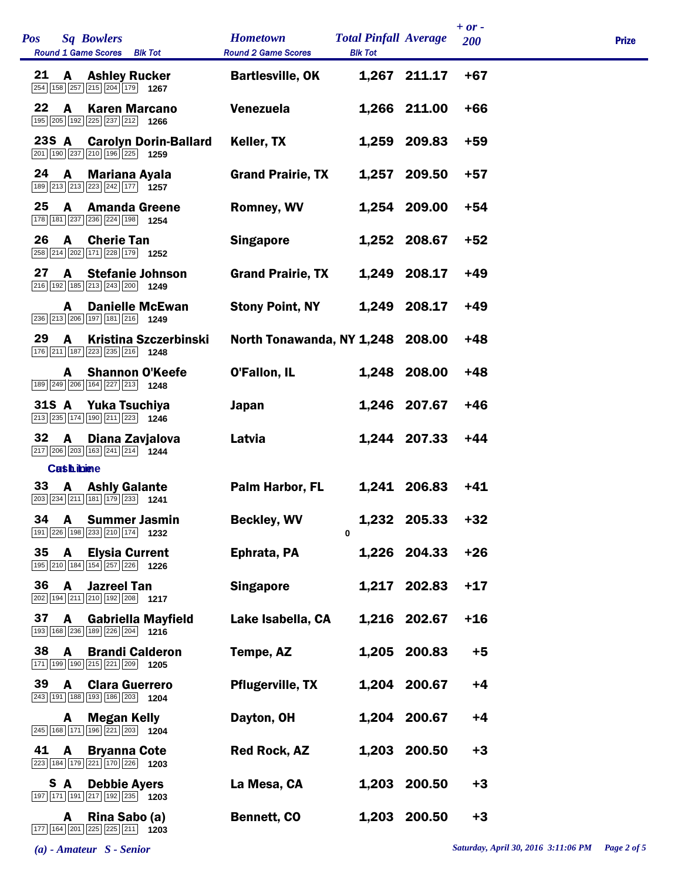| Pos   |                   | <b>Sq Bowlers</b><br>Round 1 Game Scores Blk Tot                                                      |                              | <b>Hometown</b><br><b>Round 2 Game Scores</b> | <b>Total Pinfall Average</b><br><b>Blk Tot</b> |              | <b>200</b> | <b>Prize</b> |
|-------|-------------------|-------------------------------------------------------------------------------------------------------|------------------------------|-----------------------------------------------|------------------------------------------------|--------------|------------|--------------|
| 21    | A                 | 254 158 257 215 204 179 1267                                                                          | <b>Ashley Rucker</b>         | <b>Bartlesville, OK</b>                       |                                                | 1,267 211.17 | $+67$      |              |
| 22    | A                 | 195 205 192 225 237 212 1266                                                                          | <b>Karen Marcano</b>         | Venezuela                                     |                                                | 1,266 211.00 | $+66$      |              |
| 23S A |                   | 201 190 237 210 196 225 1259                                                                          | <b>Carolyn Dorin-Ballard</b> | Keller, TX                                    |                                                | 1,259 209.83 | $+59$      |              |
| 24    | $\mathbf{A}$      | 189 213 213 223 242 177 1257                                                                          | <b>Mariana Ayala</b>         | <b>Grand Prairie, TX</b>                      |                                                | 1,257 209.50 | $+57$      |              |
| 25    | A                 | 178 181 237 236 224 198 1254                                                                          | <b>Amanda Greene</b>         | <b>Romney, WV</b>                             |                                                | 1,254 209.00 | $+54$      |              |
| 26    | $\mathbf{A}$      | <b>Cherie Tan</b><br>258 214 202 171 228 179 1252                                                     |                              | <b>Singapore</b>                              |                                                | 1,252 208.67 | $+52$      |              |
| 27    | A                 | 216 192 185 213 243 200 1249                                                                          | <b>Stefanie Johnson</b>      | <b>Grand Prairie, TX</b>                      |                                                | 1,249 208.17 | $+49$      |              |
|       | A                 | 236 213 206 197 181 216 1249                                                                          | <b>Danielle McEwan</b>       | <b>Stony Point, NY</b>                        |                                                | 1,249 208.17 | $+49$      |              |
| 29    | A                 | 176 211 187 223 235 216 1248                                                                          | <b>Kristina Szczerbinski</b> | North Tonawanda, NY 1,248 208.00              |                                                |              | $+48$      |              |
|       |                   | 189 249 206 164 227 213 1248                                                                          | <b>A</b> Shannon O'Keefe     | O'Fallon, IL                                  |                                                | 1,248 208.00 | $+48$      |              |
| 31S A |                   | Yuka Tsuchiya<br>213 235 174 190 211 223 1246                                                         |                              | Japan                                         |                                                | 1,246 207.67 | $+46$      |              |
| 32    | $\mathbf{A}$      | 217 206 203 163 241 214 1244                                                                          | Diana Zavjalova              | Latvia                                        |                                                | 1,244 207.33 | $+44$      |              |
|       | <b>Cash ibine</b> |                                                                                                       |                              |                                               |                                                |              |            |              |
| 33    |                   | <b>A</b> Ashly Galante<br>203 234 211 181 179 233 1241                                                |                              | Palm Harbor, FL                               |                                                | 1,241 206.83 | $+41$      |              |
| 34    |                   | 191 226 198 233 210 174 1232                                                                          | <b>A</b> Summer Jasmin       | <b>Beckley, WV</b>                            | $\mathbf{0}$                                   | 1,232 205.33 | $+32$      |              |
| 35    | A                 | 195 210 184 154 257 226 1226                                                                          | <b>Elysia Current</b>        | Ephrata, PA                                   |                                                | 1,226 204.33 | $+26$      |              |
| 36    | A                 | <b>Jazreel Tan</b><br>202 194 211 210 192 208 1217                                                    |                              | <b>Singapore</b>                              |                                                | 1,217 202.83 | $+17$      |              |
| 37    | A                 | 193 168 236 189 226 204 1216                                                                          | <b>Gabriella Mayfield</b>    | Lake Isabella, CA                             |                                                | 1,216 202.67 | $+16$      |              |
| 38    | A                 | 171 199 190 215 221 209 1205                                                                          | <b>Brandi Calderon</b>       | Tempe, AZ                                     |                                                | 1,205 200.83 | $+5$       |              |
| 39    | A                 | 243 191 188 193 186 203 1204                                                                          | <b>Clara Guerrero</b>        | <b>Pflugerville, TX</b>                       |                                                | 1,204 200.67 | $+4$       |              |
|       | A                 | <b>Megan Kelly</b><br>245 168 171 196 221 203 1204                                                    |                              | Dayton, OH                                    |                                                | 1,204 200.67 | $+4$       |              |
| 41    | A                 | <b>Bryanna Cote</b><br>223 184 179 221 170 226 1203                                                   |                              | <b>Red Rock, AZ</b>                           |                                                | 1,203 200.50 | $+3$       |              |
|       | S A               | <b>Debbie Ayers</b><br>197 171 191 217 192 235 1203                                                   |                              | La Mesa, CA                                   |                                                | 1,203 200.50 | $+3$       |              |
|       | A                 | Rina Sabo (a)<br>$\boxed{177}$ $\boxed{164}$ $\boxed{201}$ $\boxed{225}$ $\boxed{211}$ $\boxed{1203}$ |                              | <b>Bennett, CO</b>                            |                                                | 1,203 200.50 | $+3$       |              |

*+ or -*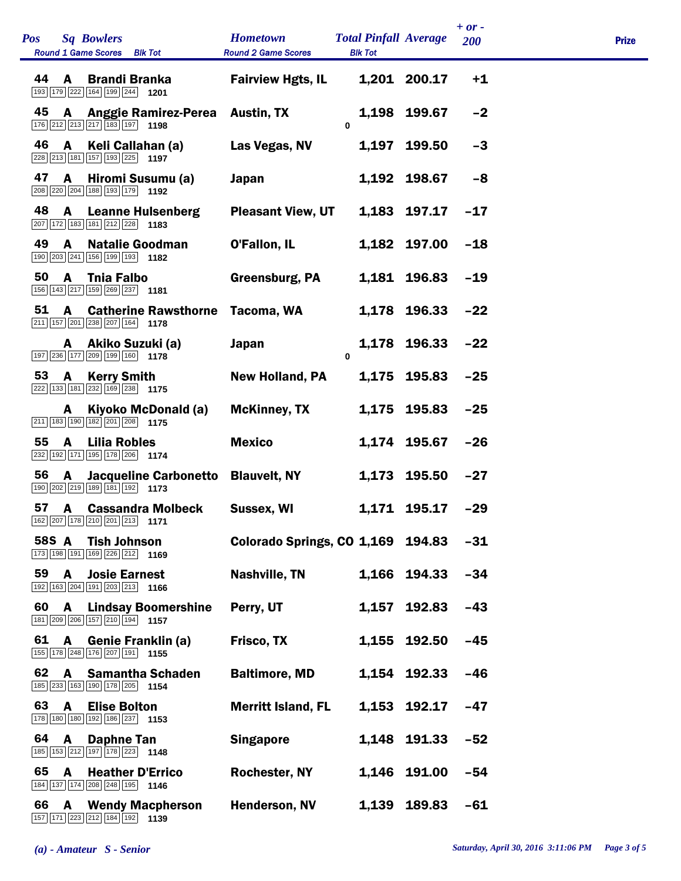| <b>Pos</b><br><b>Sq Bowlers</b><br>Round 1 Game Scores Blk Tot            | <b>Hometown</b><br><b>Round 2 Game Scores</b> | <b>Total Pinfall Average</b><br><b>Blk Tot</b> |              | $+ or -$<br>200 | <b>Prize</b> |
|---------------------------------------------------------------------------|-----------------------------------------------|------------------------------------------------|--------------|-----------------|--------------|
| 44<br>A<br><b>Brandi Branka</b><br>193 179 222 164 199 244 1201           | <b>Fairview Hgts, IL</b>                      |                                                | 1,201 200.17 | $+1$            |              |
| 45<br>A<br>Anggie Ramirez-Perea Austin, TX<br>176 212 213 217 183 197 198 |                                               | 0                                              | 1,198 199.67 | $-2$            |              |
| 46<br>$\mathbf{A}$<br>Keli Callahan (a)<br>228 213 181 157 193 225 1197   | Las Vegas, NV                                 |                                                | 1,197 199.50 | $-3$            |              |
| 47<br>Hiromi Susumu (a)<br>A<br>208 220 204 188 193 179 1192              | <b>Japan</b>                                  |                                                | 1,192 198.67 | -8              |              |
| 48<br><b>Leanne Hulsenberg</b><br>A<br>207 172 183 181 212 228 1183       | <b>Pleasant View, UT</b>                      |                                                | 1,183 197.17 | $-17$           |              |
| 49<br><b>Natalie Goodman</b><br>A<br>190 203 241 156 199 193 1182         | O'Fallon, IL                                  |                                                | 1,182 197.00 | $-18$           |              |
| 50<br><b>Tnia Falbo</b><br>A<br>156 143 217 159 269 237 1181              | Greensburg, PA                                |                                                | 1,181 196.83 | $-19$           |              |
| 51<br>A<br><b>Catherine Rawsthorne</b><br>211 157 201 238 207 164 178     | Tacoma, WA                                    |                                                | 1.178 196.33 | $-22$           |              |
| Akiko Suzuki (a)<br>A<br>197 236 177 209 199 160 1778                     | <b>Japan</b>                                  | $\bf{0}$                                       | 1,178 196.33 | $-22$           |              |
| 53<br><b>Kerry Smith</b><br>A<br>222 133 181 232 169 238 175              | <b>New Holland, PA</b>                        |                                                | 1,175 195.83 | $-25$           |              |
| Kiyoko McDonald (a)<br>A<br>$\boxed{211}$ 183 190 182 201 208 1175        | <b>McKinney, TX</b>                           |                                                | 1,175 195.83 | $-25$           |              |
| 55<br><b>Lilia Robles</b><br>A<br>232 192 171 195 178 206 1774            | <b>Mexico</b>                                 |                                                | 1,174 195.67 | $-26$           |              |
| 56<br>A<br>Jacqueline Carbonetto<br>190 202 219 189 181 192 1173          | <b>Blauvelt, NY</b>                           |                                                | 1,173 195.50 | $-27$           |              |
| 57<br><b>Cassandra Molbeck</b><br>A<br>162 207 178 210 201 213 1171       | Sussex, WI                                    |                                                | 1,171 195.17 | $-29$           |              |
| 58S A<br><b>Tish Johnson</b><br>173 198 191 169 226 212 1169              | Colorado Springs, CO 1,169 194.83             |                                                |              | $-31$           |              |
| 59<br>A<br><b>Josie Earnest</b><br>192 163 204 191 203 213 1166           | <b>Nashville, TN</b>                          |                                                | 1,166 194.33 | $-34$           |              |
| 60<br>A<br><b>Lindsay Boomershine</b><br>181 209 206 157 210 194 1157     | Perry, UT                                     |                                                | 1,157 192.83 | $-43$           |              |
| 61<br>A<br><b>Genie Franklin (a)</b><br>155 178 248 176 207 191 1155      | Frisco, TX                                    |                                                | 1,155 192.50 | $-45$           |              |
| 62<br>A<br><b>Samantha Schaden</b><br>185 233 163 190 178 205 1154        | <b>Baltimore, MD</b>                          |                                                | 1,154 192.33 | $-46$           |              |
| 63<br>A<br><b>Elise Bolton</b><br>178 180 180 192 186 237 1153            | <b>Merritt Island, FL</b>                     |                                                | 1,153 192.17 | -47             |              |
| 64<br>A<br><b>Daphne Tan</b><br>185 153 212 197 178 223 1148              | <b>Singapore</b>                              |                                                | 1,148 191.33 | $-52$           |              |
| 65<br>A<br><b>Heather D'Errico</b><br>184 137 174 208 248 195 1146        | <b>Rochester, NY</b>                          |                                                | 1,146 191.00 | $-54$           |              |
| 66<br><b>Wendy Macpherson</b><br>A<br>157 171 223 212 184 192 1139        | Henderson, NV                                 |                                                | 1,139 189.83 | $-61$           |              |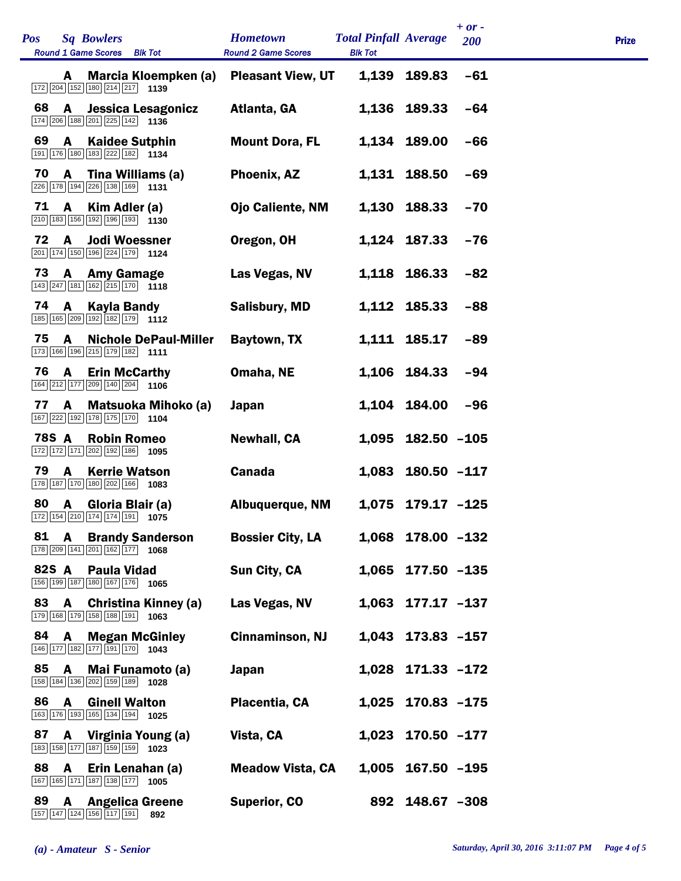| Pos |       |              | <b>Sq Bowlers</b><br><b>Round 1 Game Scores</b><br><b>Blk Tot</b> | <b>Hometown</b><br><b>Round 2 Game Scores</b> | <b>Total Pinfall Average</b><br><b>Blk Tot</b> |                     | 200   | <b>Prize</b> |
|-----|-------|--------------|-------------------------------------------------------------------|-----------------------------------------------|------------------------------------------------|---------------------|-------|--------------|
|     |       | A            | Marcia Kloempken (a)<br>172 204 152 180 214 217 1139              | <b>Pleasant View, UT</b>                      | 1,139                                          | 189.83              | $-61$ |              |
|     | 68    | A            | <b>Jessica Lesagonicz</b><br>174 206 188 201 225 142 1136         | Atlanta, GA                                   |                                                | 1,136 189.33        | $-64$ |              |
|     | 69    | A            | <b>Kaidee Sutphin</b><br>191 176 180 183 222 182 1134             | <b>Mount Dora, FL</b>                         | 1,134                                          | 189.00              | $-66$ |              |
|     | 70    | $\mathbf{A}$ | Tina Williams (a)<br>226 178 194 226 138 169 1131                 | Phoenix, AZ                                   |                                                | 1,131 188.50        | -69   |              |
|     | 71    | A            | Kim Adler (a)<br>210 183 156 192 196 193 1130                     | Ojo Caliente, NM                              | 1,130                                          | 188.33              | $-70$ |              |
|     | 72    | A            | <b>Jodi Woessner</b><br>201 174 150 196 224 179 1124              | Oregon, OH                                    |                                                | 1,124 187.33        | $-76$ |              |
|     | 73    | $\mathbf{A}$ | Amy Gamage<br>143 247 181 162 215 170 1118                        | Las Vegas, NV                                 |                                                | 1,118 186.33        | $-82$ |              |
|     | 74    | $\mathbf{A}$ | <b>Kayla Bandy</b><br>185 165 209 192 182 179 1112                | <b>Salisbury, MD</b>                          |                                                | 1,112 185.33        | $-88$ |              |
|     | 75    | A            | <b>Nichole DePaul-Miller</b><br>173 166 196 215 179 182 1111      | Baytown, TX                                   |                                                | 1,111 185.17        | $-89$ |              |
|     | 76    | A            | <b>Erin McCarthy</b><br>164 212 177 209 140 204 1106              | Omaha, NE                                     |                                                | 1,106 184.33        | $-94$ |              |
|     | 77    | A            | Matsuoka Mihoko (a)<br>167 222 192 178 175 170 1104               | <b>Japan</b>                                  | 1,104                                          | 184.00              | $-96$ |              |
|     | 78S A |              | <b>Robin Romeo</b><br>172 172 171 202 192 186 1095                | <b>Newhall, CA</b>                            | 1,095                                          | 182.50 -105         |       |              |
|     | 79    | A            | <b>Kerrie Watson</b><br>178 187 170 180 202 166 1083              | <b>Canada</b>                                 | 1,083                                          | $180.50 - 117$      |       |              |
|     | 80    | A            | Gloria Blair (a)<br>172 154 210 174 174 191<br>1075               | <b>Albuquerque, NM</b>                        | 1,075                                          | $179.17 - 125$      |       |              |
|     | 81    | $\mathbf{A}$ | <b>Brandy Sanderson</b><br>178 209 141 201 162 177 1068           | <b>Bossier City, LA</b>                       |                                                | 1,068 178.00 -132   |       |              |
|     | 82S A |              | <b>Paula Vidad</b><br>156 199 187 180 167 176 1065                | <b>Sun City, CA</b>                           |                                                | 1,065 177.50 -135   |       |              |
|     | 83    | A            | <b>Christina Kinney (a)</b><br>179 168 179 158 188 191 1063       | Las Vegas, NV                                 |                                                | $1,063$ 177.17 -137 |       |              |
|     | 84    | A            | <b>Megan McGinley</b><br>146 177 182 177 191 170 1043             | <b>Cinnaminson, NJ</b>                        |                                                | 1,043 173.83 -157   |       |              |
|     | 85    | A            | Mai Funamoto (a)<br>158 184 136 202 159 189<br>1028               | Japan                                         |                                                | 1,028 171.33 -172   |       |              |
|     | 86    | A            | <b>Ginell Walton</b><br>163 176 193 165 134 194 1025              | Placentia, CA                                 |                                                | 1,025 170.83 -175   |       |              |
|     | 87    |              | A Virginia Young (a)<br>183 158 177 187 159 159 1023              | Vista, CA                                     | 1,023                                          | $170.50 - 177$      |       |              |
|     | 88    | A            | Erin Lenahan (a)<br>167 165 171 187 138 177 1005                  | <b>Meadow Vista, CA</b>                       | 1,005                                          | $167.50 - 195$      |       |              |
|     | 89    | A            | <b>Angelica Greene</b><br>157 147 124 156 117 191<br>892          | <b>Superior, CO</b>                           |                                                | 892 148.67 -308     |       |              |

*+ or -* 

Î.